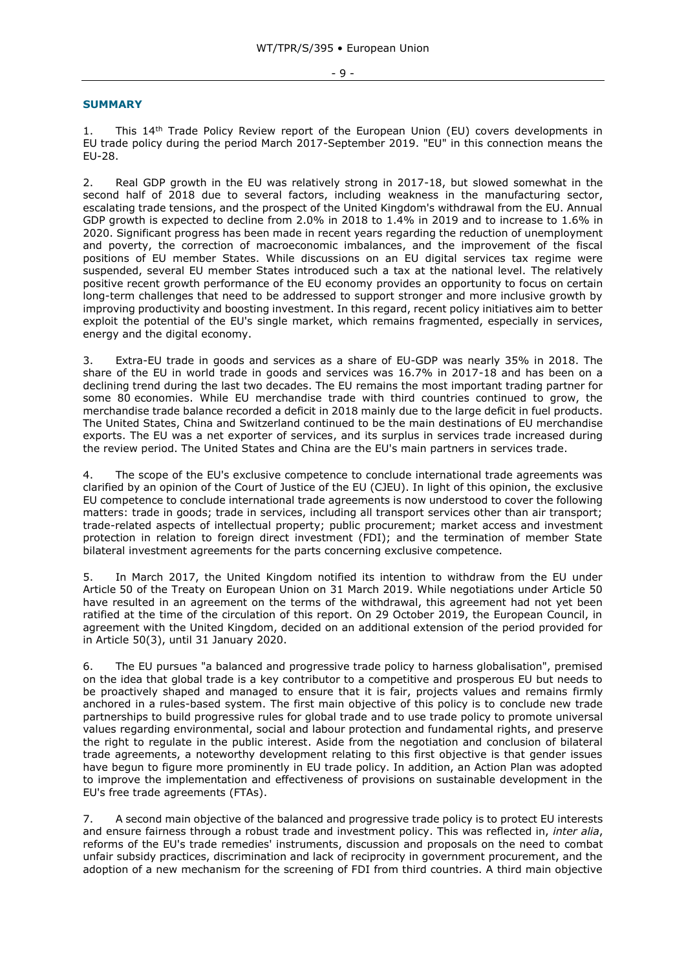## $-9 -$

## **SUMMARY**

1. This 14<sup>th</sup> Trade Policy Review report of the European Union (EU) covers developments in EU trade policy during the period March 2017-September 2019. "EU" in this connection means the EU-28.

2. Real GDP growth in the EU was relatively strong in 2017-18, but slowed somewhat in the second half of 2018 due to several factors, including weakness in the manufacturing sector, escalating trade tensions, and the prospect of the United Kingdom's withdrawal from the EU. Annual GDP growth is expected to decline from 2.0% in 2018 to 1.4% in 2019 and to increase to 1.6% in 2020. Significant progress has been made in recent years regarding the reduction of unemployment and poverty, the correction of macroeconomic imbalances, and the improvement of the fiscal positions of EU member States. While discussions on an EU digital services tax regime were suspended, several EU member States introduced such a tax at the national level. The relatively positive recent growth performance of the EU economy provides an opportunity to focus on certain long-term challenges that need to be addressed to support stronger and more inclusive growth by improving productivity and boosting investment. In this regard, recent policy initiatives aim to better exploit the potential of the EU's single market, which remains fragmented, especially in services, energy and the digital economy.

3. Extra-EU trade in goods and services as a share of EU-GDP was nearly 35% in 2018. The share of the EU in world trade in goods and services was 16.7% in 2017-18 and has been on a declining trend during the last two decades. The EU remains the most important trading partner for some 80 economies. While EU merchandise trade with third countries continued to grow, the merchandise trade balance recorded a deficit in 2018 mainly due to the large deficit in fuel products. The United States, China and Switzerland continued to be the main destinations of EU merchandise exports. The EU was a net exporter of services, and its surplus in services trade increased during the review period. The United States and China are the EU's main partners in services trade.

4. The scope of the EU's exclusive competence to conclude international trade agreements was clarified by an opinion of the Court of Justice of the EU (CJEU). In light of this opinion, the exclusive EU competence to conclude international trade agreements is now understood to cover the following matters: trade in goods; trade in services, including all transport services other than air transport; trade-related aspects of intellectual property; public procurement; market access and investment protection in relation to foreign direct investment (FDI); and the termination of member State bilateral investment agreements for the parts concerning exclusive competence.

5. In March 2017, the United Kingdom notified its intention to withdraw from the EU under Article 50 of the Treaty on European Union on 31 March 2019. While negotiations under Article 50 have resulted in an agreement on the terms of the withdrawal, this agreement had not yet been ratified at the time of the circulation of this report. On 29 October 2019, the European Council, in agreement with the United Kingdom, decided on an additional extension of the period provided for in Article 50(3), until 31 January 2020.

6. The EU pursues "a balanced and progressive trade policy to harness globalisation", premised on the idea that global trade is a key contributor to a competitive and prosperous EU but needs to be proactively shaped and managed to ensure that it is fair, projects values and remains firmly anchored in a rules-based system. The first main objective of this policy is to conclude new trade partnerships to build progressive rules for global trade and to use trade policy to promote universal values regarding environmental, social and labour protection and fundamental rights, and preserve the right to regulate in the public interest. Aside from the negotiation and conclusion of bilateral trade agreements, a noteworthy development relating to this first objective is that gender issues have begun to figure more prominently in EU trade policy. In addition, an Action Plan was adopted to improve the implementation and effectiveness of provisions on sustainable development in the EU's free trade agreements (FTAs).

7. A second main objective of the balanced and progressive trade policy is to protect EU interests and ensure fairness through a robust trade and investment policy. This was reflected in, *inter alia*, reforms of the EU's trade remedies' instruments, discussion and proposals on the need to combat unfair subsidy practices, discrimination and lack of reciprocity in government procurement, and the adoption of a new mechanism for the screening of FDI from third countries. A third main objective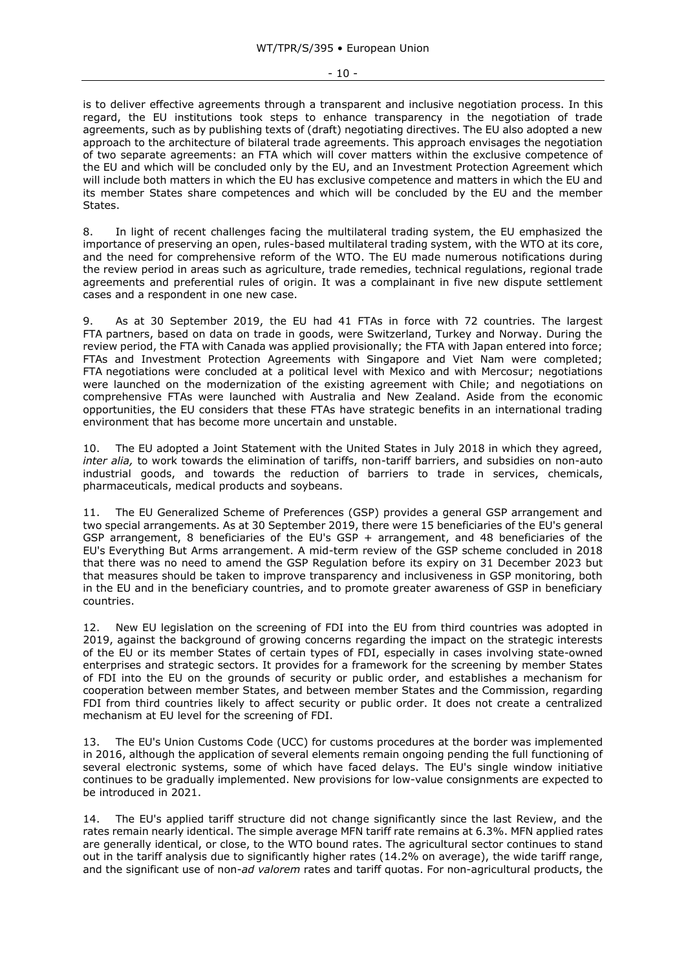is to deliver effective agreements through a transparent and inclusive negotiation process. In this regard, the EU institutions took steps to enhance transparency in the negotiation of trade agreements, such as by publishing texts of (draft) negotiating directives. The EU also adopted a new approach to the architecture of bilateral trade agreements. This approach envisages the negotiation of two separate agreements: an FTA which will cover matters within the exclusive competence of the EU and which will be concluded only by the EU, and an Investment Protection Agreement which will include both matters in which the EU has exclusive competence and matters in which the EU and its member States share competences and which will be concluded by the EU and the member States.

8. In light of recent challenges facing the multilateral trading system, the EU emphasized the importance of preserving an open, rules-based multilateral trading system, with the WTO at its core, and the need for comprehensive reform of the WTO. The EU made numerous notifications during the review period in areas such as agriculture, trade remedies, technical regulations, regional trade agreements and preferential rules of origin. It was a complainant in five new dispute settlement cases and a respondent in one new case.

9. As at 30 September 2019, the EU had 41 FTAs in force with 72 countries. The largest FTA partners, based on data on trade in goods, were Switzerland, Turkey and Norway. During the review period, the FTA with Canada was applied provisionally; the FTA with Japan entered into force; FTAs and Investment Protection Agreements with Singapore and Viet Nam were completed; FTA negotiations were concluded at a political level with Mexico and with Mercosur; negotiations were launched on the modernization of the existing agreement with Chile; and negotiations on comprehensive FTAs were launched with Australia and New Zealand. Aside from the economic opportunities, the EU considers that these FTAs have strategic benefits in an international trading environment that has become more uncertain and unstable.

10. The EU adopted a Joint Statement with the United States in July 2018 in which they agreed, *inter alia,* to work towards the elimination of tariffs, non-tariff barriers, and subsidies on non-auto industrial goods, and towards the reduction of barriers to trade in services, chemicals, pharmaceuticals, medical products and soybeans.

11. The EU Generalized Scheme of Preferences (GSP) provides a general GSP arrangement and two special arrangements. As at 30 September 2019, there were 15 beneficiaries of the EU's general GSP arrangement, 8 beneficiaries of the EU's GSP + arrangement, and 48 beneficiaries of the EU's Everything But Arms arrangement. A mid-term review of the GSP scheme concluded in 2018 that there was no need to amend the GSP Regulation before its expiry on 31 December 2023 but that measures should be taken to improve transparency and inclusiveness in GSP monitoring, both in the EU and in the beneficiary countries, and to promote greater awareness of GSP in beneficiary countries.

12. New EU legislation on the screening of FDI into the EU from third countries was adopted in 2019, against the background of growing concerns regarding the impact on the strategic interests of the EU or its member States of certain types of FDI, especially in cases involving state-owned enterprises and strategic sectors. It provides for a framework for the screening by member States of FDI into the EU on the grounds of security or public order, and establishes a mechanism for cooperation between member States, and between member States and the Commission, regarding FDI from third countries likely to affect security or public order. It does not create a centralized mechanism at EU level for the screening of FDI.

13. The EU's Union Customs Code (UCC) for customs procedures at the border was implemented in 2016, although the application of several elements remain ongoing pending the full functioning of several electronic systems, some of which have faced delays. The EU's single window initiative continues to be gradually implemented. New provisions for low-value consignments are expected to be introduced in 2021.

14. The EU's applied tariff structure did not change significantly since the last Review, and the rates remain nearly identical. The simple average MFN tariff rate remains at 6.3%. MFN applied rates are generally identical, or close, to the WTO bound rates. The agricultural sector continues to stand out in the tariff analysis due to significantly higher rates (14.2% on average), the wide tariff range, and the significant use of non-*ad valorem* rates and tariff quotas. For non-agricultural products, the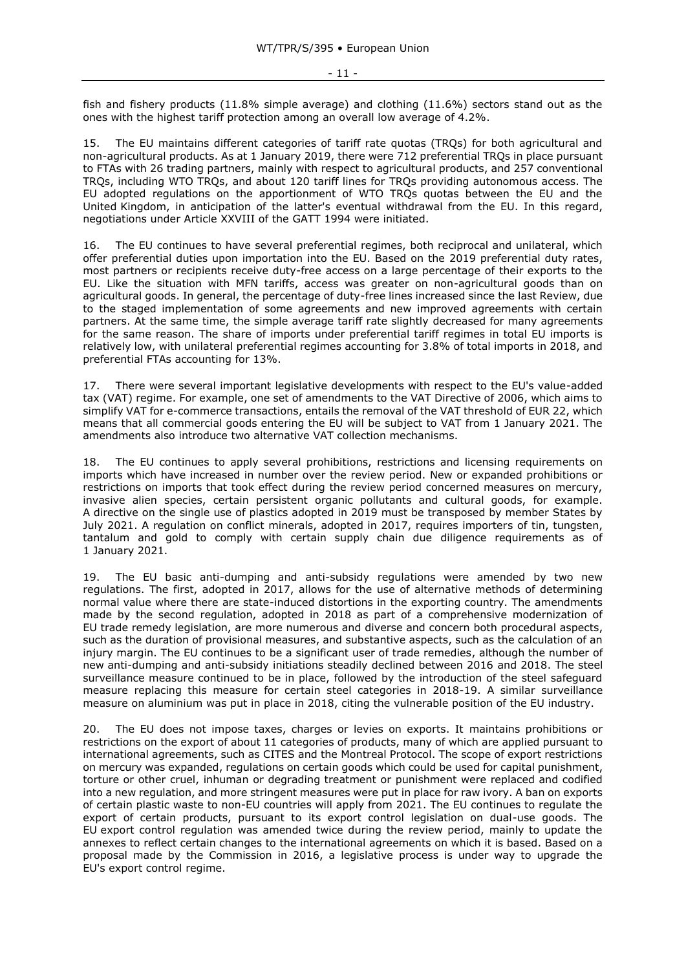fish and fishery products (11.8% simple average) and clothing (11.6%) sectors stand out as the ones with the highest tariff protection among an overall low average of 4.2%.

15. The EU maintains different categories of tariff rate quotas (TRQs) for both agricultural and non-agricultural products. As at 1 January 2019, there were 712 preferential TRQs in place pursuant to FTAs with 26 trading partners, mainly with respect to agricultural products, and 257 conventional TRQs, including WTO TRQs, and about 120 tariff lines for TRQs providing autonomous access. The EU adopted regulations on the apportionment of WTO TRQs quotas between the EU and the United Kingdom, in anticipation of the latter's eventual withdrawal from the EU. In this regard, negotiations under Article XXVIII of the GATT 1994 were initiated.

16. The EU continues to have several preferential regimes, both reciprocal and unilateral, which offer preferential duties upon importation into the EU. Based on the 2019 preferential duty rates, most partners or recipients receive duty-free access on a large percentage of their exports to the EU. Like the situation with MFN tariffs, access was greater on non-agricultural goods than on agricultural goods. In general, the percentage of duty-free lines increased since the last Review, due to the staged implementation of some agreements and new improved agreements with certain partners. At the same time, the simple average tariff rate slightly decreased for many agreements for the same reason. The share of imports under preferential tariff regimes in total EU imports is relatively low, with unilateral preferential regimes accounting for 3.8% of total imports in 2018, and preferential FTAs accounting for 13%.

17. There were several important legislative developments with respect to the EU's value-added tax (VAT) regime. For example, one set of amendments to the VAT Directive of 2006, which aims to simplify VAT for e-commerce transactions, entails the removal of the VAT threshold of EUR 22, which means that all commercial goods entering the EU will be subject to VAT from 1 January 2021. The amendments also introduce two alternative VAT collection mechanisms.

18. The EU continues to apply several prohibitions, restrictions and licensing requirements on imports which have increased in number over the review period. New or expanded prohibitions or restrictions on imports that took effect during the review period concerned measures on mercury, invasive alien species, certain persistent organic pollutants and cultural goods, for example. A directive on the single use of plastics adopted in 2019 must be transposed by member States by July 2021. A regulation on conflict minerals, adopted in 2017, requires importers of tin, tungsten, tantalum and gold to comply with certain supply chain due diligence requirements as of 1 January 2021.

19. The EU basic anti-dumping and anti-subsidy regulations were amended by two new regulations. The first, adopted in 2017, allows for the use of alternative methods of determining normal value where there are state-induced distortions in the exporting country. The amendments made by the second regulation, adopted in 2018 as part of a comprehensive modernization of EU trade remedy legislation, are more numerous and diverse and concern both procedural aspects, such as the duration of provisional measures, and substantive aspects, such as the calculation of an injury margin. The EU continues to be a significant user of trade remedies, although the number of new anti-dumping and anti-subsidy initiations steadily declined between 2016 and 2018. The steel surveillance measure continued to be in place, followed by the introduction of the steel safeguard measure replacing this measure for certain steel categories in 2018-19. A similar surveillance measure on aluminium was put in place in 2018, citing the vulnerable position of the EU industry.

20. The EU does not impose taxes, charges or levies on exports. It maintains prohibitions or restrictions on the export of about 11 categories of products, many of which are applied pursuant to international agreements, such as CITES and the Montreal Protocol. The scope of export restrictions on mercury was expanded, regulations on certain goods which could be used for capital punishment, torture or other cruel, inhuman or degrading treatment or punishment were replaced and codified into a new regulation, and more stringent measures were put in place for raw ivory. A ban on exports of certain plastic waste to non-EU countries will apply from 2021. The EU continues to regulate the export of certain products, pursuant to its export control legislation on dual-use goods. The EU export control regulation was amended twice during the review period, mainly to update the annexes to reflect certain changes to the international agreements on which it is based. Based on a proposal made by the Commission in 2016, a legislative process is under way to upgrade the EU's export control regime.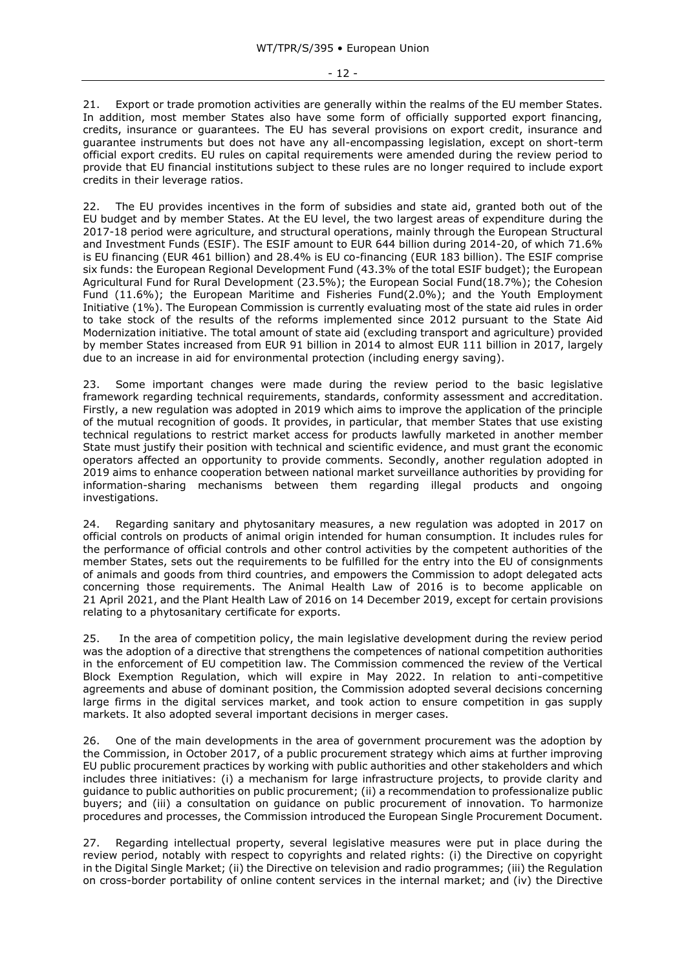21. Export or trade promotion activities are generally within the realms of the EU member States. In addition, most member States also have some form of officially supported export financing, credits, insurance or guarantees. The EU has several provisions on export credit, insurance and guarantee instruments but does not have any all-encompassing legislation, except on short-term official export credits. EU rules on capital requirements were amended during the review period to provide that EU financial institutions subject to these rules are no longer required to include export credits in their leverage ratios.

22. The EU provides incentives in the form of subsidies and state aid, granted both out of the EU budget and by member States. At the EU level, the two largest areas of expenditure during the 2017-18 period were agriculture, and structural operations, mainly through the European Structural and Investment Funds (ESIF). The ESIF amount to EUR 644 billion during 2014-20, of which 71.6% is EU financing (EUR 461 billion) and 28.4% is EU co-financing (EUR 183 billion). The ESIF comprise six funds: the European Regional Development Fund (43.3% of the total ESIF budget); the European Agricultural Fund for Rural Development (23.5%); the European Social Fund(18.7%); the Cohesion Fund (11.6%); the European Maritime and Fisheries Fund(2.0%); and the Youth Employment Initiative (1%). The European Commission is currently evaluating most of the state aid rules in order to take stock of the results of the reforms implemented since 2012 pursuant to the State Aid Modernization initiative. The total amount of state aid (excluding transport and agriculture) provided by member States increased from EUR 91 billion in 2014 to almost EUR 111 billion in 2017, largely due to an increase in aid for environmental protection (including energy saving).

23. Some important changes were made during the review period to the basic legislative framework regarding technical requirements, standards, conformity assessment and accreditation. Firstly, a new regulation was adopted in 2019 which aims to improve the application of the principle of the mutual recognition of goods. It provides, in particular, that member States that use existing technical regulations to restrict market access for products lawfully marketed in another member State must justify their position with technical and scientific evidence, and must grant the economic operators affected an opportunity to provide comments. Secondly, another regulation adopted in 2019 aims to enhance cooperation between national market surveillance authorities by providing for information-sharing mechanisms between them regarding illegal products and ongoing investigations.

24. Regarding sanitary and phytosanitary measures, a new regulation was adopted in 2017 on official controls on products of animal origin intended for human consumption. It includes rules for the performance of official controls and other control activities by the competent authorities of the member States, sets out the requirements to be fulfilled for the entry into the EU of consignments of animals and goods from third countries, and empowers the Commission to adopt delegated acts concerning those requirements. The Animal Health Law of 2016 is to become applicable on 21 April 2021, and the Plant Health Law of 2016 on 14 December 2019, except for certain provisions relating to a phytosanitary certificate for exports.

25. In the area of competition policy, the main legislative development during the review period was the adoption of a directive that strengthens the competences of national competition authorities in the enforcement of EU competition law. The Commission commenced the review of the Vertical Block Exemption Regulation, which will expire in May 2022. In relation to anti-competitive agreements and abuse of dominant position, the Commission adopted several decisions concerning large firms in the digital services market, and took action to ensure competition in gas supply markets. It also adopted several important decisions in merger cases.

26. One of the main developments in the area of government procurement was the adoption by the Commission, in October 2017, of a public procurement strategy which aims at further improving EU public procurement practices by working with public authorities and other stakeholders and which includes three initiatives: (i) a mechanism for large infrastructure projects, to provide clarity and guidance to public authorities on public procurement; (ii) a recommendation to professionalize public buyers; and (iii) a consultation on guidance on public procurement of innovation. To harmonize procedures and processes, the Commission introduced the European Single Procurement Document.

27. Regarding intellectual property, several legislative measures were put in place during the review period, notably with respect to copyrights and related rights: (i) the Directive on copyright in the Digital Single Market; (ii) the Directive on television and radio programmes; (iii) the Regulation on cross-border portability of online content services in the internal market; and (iv) the Directive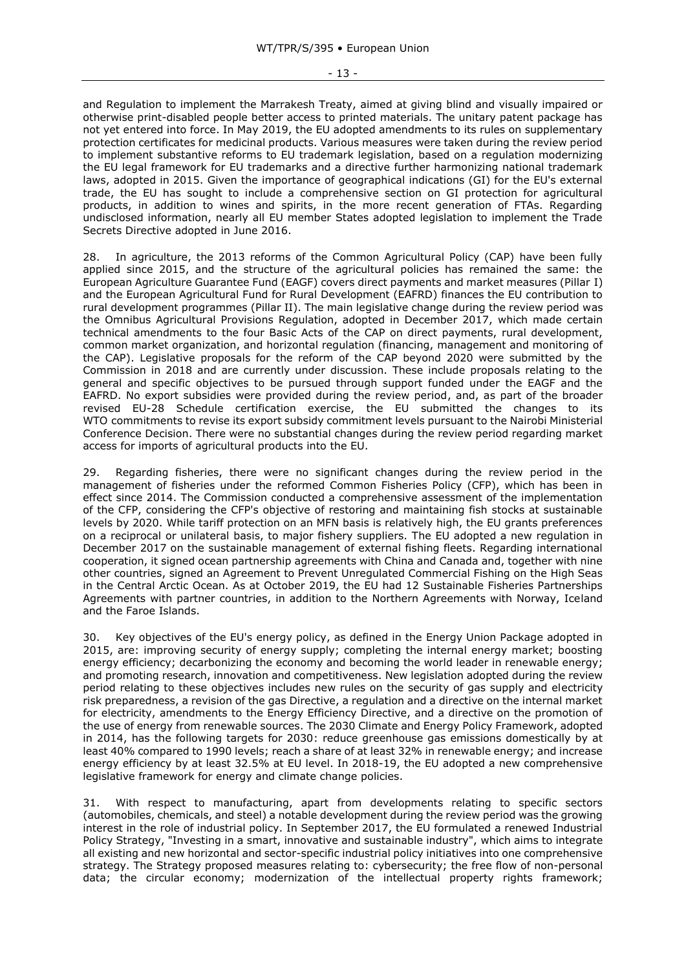and Regulation to implement the Marrakesh Treaty, aimed at giving blind and visually impaired or otherwise print-disabled people better access to printed materials. The unitary patent package has not yet entered into force. In May 2019, the EU adopted amendments to its rules on supplementary protection certificates for medicinal products. Various measures were taken during the review period to implement substantive reforms to EU trademark legislation, based on a regulation modernizing the EU legal framework for EU trademarks and a directive further harmonizing national trademark laws, adopted in 2015. Given the importance of geographical indications (GI) for the EU's external trade, the EU has sought to include a comprehensive section on GI protection for agricultural products, in addition to wines and spirits, in the more recent generation of FTAs. Regarding undisclosed information, nearly all EU member States adopted legislation to implement the Trade Secrets Directive adopted in June 2016.

28. In agriculture, the 2013 reforms of the Common Agricultural Policy (CAP) have been fully applied since 2015, and the structure of the agricultural policies has remained the same: the European Agriculture Guarantee Fund (EAGF) covers direct payments and market measures (Pillar I) and the European Agricultural Fund for Rural Development (EAFRD) finances the EU contribution to rural development programmes (Pillar II). The main legislative change during the review period was the Omnibus Agricultural Provisions Regulation, adopted in December 2017, which made certain technical amendments to the four Basic Acts of the CAP on direct payments, rural development, common market organization, and horizontal regulation (financing, management and monitoring of the CAP). Legislative proposals for the reform of the CAP beyond 2020 were submitted by the Commission in 2018 and are currently under discussion. These include proposals relating to the general and specific objectives to be pursued through support funded under the EAGF and the EAFRD. No export subsidies were provided during the review period, and, as part of the broader revised EU-28 Schedule certification exercise, the EU submitted the changes to its WTO commitments to revise its export subsidy commitment levels pursuant to the Nairobi Ministerial Conference Decision. There were no substantial changes during the review period regarding market access for imports of agricultural products into the EU.

29. Regarding fisheries, there were no significant changes during the review period in the management of fisheries under the reformed Common Fisheries Policy (CFP), which has been in effect since 2014. The Commission conducted a comprehensive assessment of the implementation of the CFP, considering the CFP's objective of restoring and maintaining fish stocks at sustainable levels by 2020. While tariff protection on an MFN basis is relatively high, the EU grants preferences on a reciprocal or unilateral basis, to major fishery suppliers. The EU adopted a new regulation in December 2017 on the sustainable management of external fishing fleets. Regarding international cooperation, it signed ocean partnership agreements with China and Canada and, together with nine other countries, signed an Agreement to Prevent Unregulated Commercial Fishing on the High Seas in the Central Arctic Ocean. As at October 2019, the EU had 12 Sustainable Fisheries Partnerships Agreements with partner countries, in addition to the Northern Agreements with Norway, Iceland and the Faroe Islands.

30. Key objectives of the EU's energy policy, as defined in the Energy Union Package adopted in 2015, are: improving security of energy supply; completing the internal energy market; boosting energy efficiency; decarbonizing the economy and becoming the world leader in renewable energy; and promoting research, innovation and competitiveness. New legislation adopted during the review period relating to these objectives includes new rules on the security of gas supply and electricity risk preparedness, a revision of the gas Directive, a regulation and a directive on the internal market for electricity, amendments to the Energy Efficiency Directive, and a directive on the promotion of the use of energy from renewable sources. The 2030 Climate and Energy Policy Framework, adopted in 2014, has the following targets for 2030: reduce greenhouse gas emissions domestically by at least 40% compared to 1990 levels; reach a share of at least 32% in renewable energy; and increase energy efficiency by at least 32.5% at EU level. In 2018-19, the EU adopted a new comprehensive legislative framework for energy and climate change policies.

31. With respect to manufacturing, apart from developments relating to specific sectors (automobiles, chemicals, and steel) a notable development during the review period was the growing interest in the role of industrial policy. In September 2017, the EU formulated a renewed Industrial Policy Strategy, "Investing in a smart, innovative and sustainable industry", which aims to integrate all existing and new horizontal and sector-specific industrial policy initiatives into one comprehensive strategy. The Strategy proposed measures relating to: cybersecurity; the free flow of non-personal data; the circular economy; modernization of the intellectual property rights framework;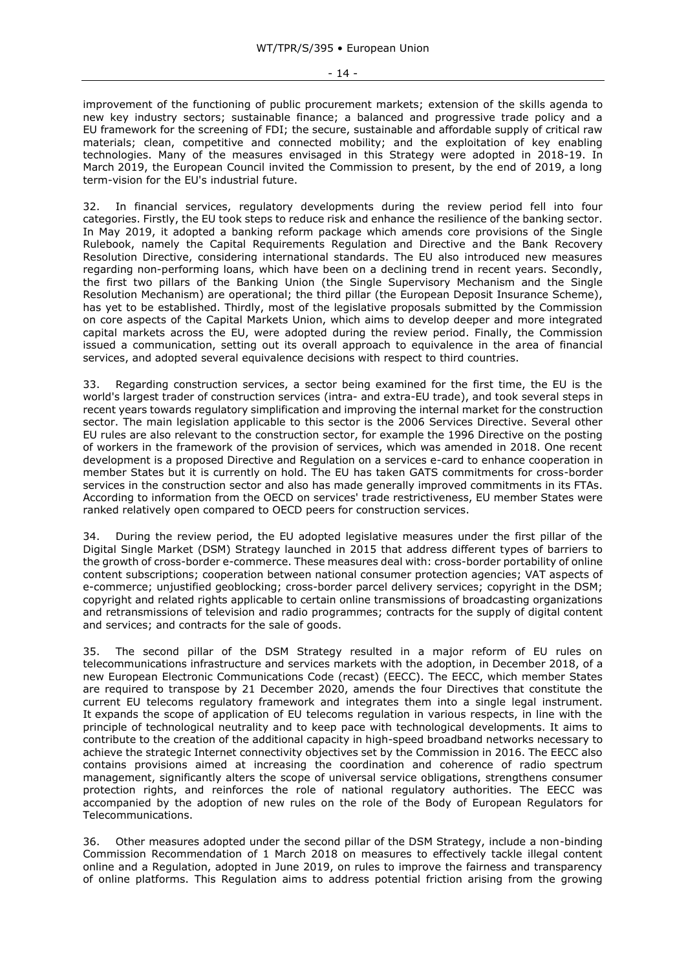improvement of the functioning of public procurement markets; extension of the skills agenda to new key industry sectors; sustainable finance; a balanced and progressive trade policy and a EU framework for the screening of FDI; the secure, sustainable and affordable supply of critical raw materials; clean, competitive and connected mobility; and the exploitation of key enabling technologies. Many of the measures envisaged in this Strategy were adopted in 2018-19. In March 2019, the European Council invited the Commission to present, by the end of 2019, a long term-vision for the EU's industrial future.

32. In financial services, regulatory developments during the review period fell into four categories. Firstly, the EU took steps to reduce risk and enhance the resilience of the banking sector. In May 2019, it adopted a banking reform package which amends core provisions of the Single Rulebook, namely the Capital Requirements Regulation and Directive and the Bank Recovery Resolution Directive, considering international standards. The EU also introduced new measures regarding non-performing loans, which have been on a declining trend in recent years. Secondly, the first two pillars of the Banking Union (the Single Supervisory Mechanism and the Single Resolution Mechanism) are operational; the third pillar (the European Deposit Insurance Scheme), has yet to be established. Thirdly, most of the legislative proposals submitted by the Commission on core aspects of the Capital Markets Union, which aims to develop deeper and more integrated capital markets across the EU, were adopted during the review period. Finally, the Commission issued a communication, setting out its overall approach to equivalence in the area of financial services, and adopted several equivalence decisions with respect to third countries.

33. Regarding construction services, a sector being examined for the first time, the EU is the world's largest trader of construction services (intra- and extra-EU trade), and took several steps in recent years towards regulatory simplification and improving the internal market for the construction sector. The main legislation applicable to this sector is the 2006 Services Directive. Several other EU rules are also relevant to the construction sector, for example the 1996 Directive on the posting of workers in the framework of the provision of services, which was amended in 2018. One recent development is a proposed Directive and Regulation on a services e-card to enhance cooperation in member States but it is currently on hold. The EU has taken GATS commitments for cross-border services in the construction sector and also has made generally improved commitments in its FTAs. According to information from the OECD on services' trade restrictiveness, EU member States were ranked relatively open compared to OECD peers for construction services.

34. During the review period, the EU adopted legislative measures under the first pillar of the Digital Single Market (DSM) Strategy launched in 2015 that address different types of barriers to the growth of cross-border e-commerce. These measures deal with: cross-border portability of online content subscriptions; cooperation between national consumer protection agencies; VAT aspects of e-commerce; unjustified geoblocking; cross-border parcel delivery services; copyright in the DSM; copyright and related rights applicable to certain online transmissions of broadcasting organizations and retransmissions of television and radio programmes; contracts for the supply of digital content and services; and contracts for the sale of goods.

35. The second pillar of the DSM Strategy resulted in a major reform of EU rules on telecommunications infrastructure and services markets with the adoption, in December 2018, of a new European Electronic Communications Code (recast) (EECC). The EECC, which member States are required to transpose by 21 December 2020, amends the four Directives that constitute the current EU telecoms regulatory framework and integrates them into a single legal instrument. It expands the scope of application of EU telecoms regulation in various respects, in line with the principle of technological neutrality and to keep pace with technological developments. It aims to contribute to the creation of the additional capacity in high-speed broadband networks necessary to achieve the strategic Internet connectivity objectives set by the Commission in 2016. The EECC also contains provisions aimed at increasing the coordination and coherence of radio spectrum management, significantly alters the scope of universal service obligations, strengthens consumer protection rights, and reinforces the role of national regulatory authorities. The EECC was accompanied by the adoption of new rules on the role of the Body of European Regulators for Telecommunications.

36. Other measures adopted under the second pillar of the DSM Strategy, include a non-binding Commission Recommendation of 1 March 2018 on measures to effectively tackle illegal content online and a Regulation, adopted in June 2019, on rules to improve the fairness and transparency of online platforms. This Regulation aims to address potential friction arising from the growing